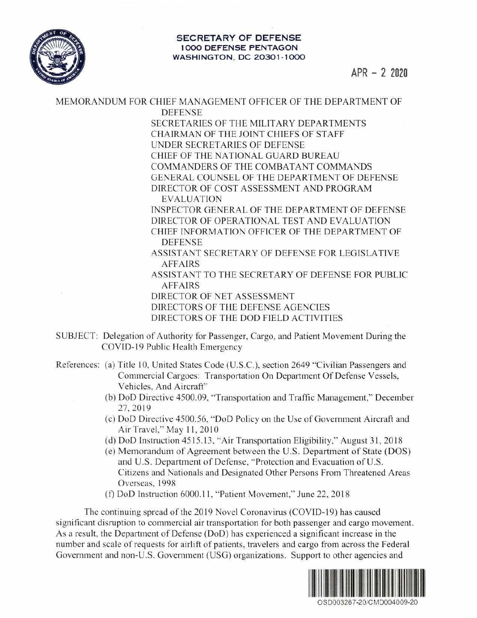

## **SECRETARY OF DEFENSE 1000 DEFENSE PENTAGON WASHINGTON , DC 20301 - 1000**

**APR - 2 2020** 

## MEMORANDUM FOR CHIEF MANAGEMENT OFFICER OF THE DEPARTMENT OF **DEFENSE**

SECRETARIES OF THE MILITARY DEPARTMENTS CHAJRMAN OF THE JOTNT CHIEFS OF STAFF UNDER SECRETARIES OF DEFENSE CHIEF OF THE NA TlONAL GUARD BUREAU COMMANDERS OF THE COMBATANT COMMANDS GENERAL COUNSEL OF THE DEPARTMENT OF DEFENSE DIRECTOR OF COST ASSESSMENT AND PROGRAM EVALUATlON

INSPECTOR GENERAL OF THE DEPARTMENT OF DEFENSE DIRECTOR OF OPERATIONAL TEST AND EVALUATION CHIEF INFORMATION OFFICER OF THE DEPARTMENT OF **DEFENSE** 

ASSISTANT SECRETARY OF DEFENSE FOR LEGISLATIVE AFFAIRS

ASSISTANT TO THE SECRETARY OF DEFENSE FOR PUBLIC AFFAIRS

DIRECTOR OF NET ASSESSMENT

DIRECTORS OF THE DEFENSE AGENCIES DIRECTORS OF THE DOD FIELD ACTIVITIES

- SUBJECT: Delegation of Authority for Passenger, Cargo, and Patient Movement During the COVID-19 Public Health Emergency
- References: (a) Title 10, United States Code (U.S.C.), section 2649 "Civilian Passengers and Commercial Cargoes: Transportation On Department Of Defense Vessels, Vehicles, And Aircraft"
	- (b) DoD Directive 4500.09, "Transportation and Traffic Management," December 27,2019
	- (c) DoD Directive 4500.56, "DoD Policy on the Use of Government Aircraft and Air Travel," May 11, 2010
	- (d) DoD Instruction 4515.13, "Air Transportation Eligibility," August 31, 2018
	- (e) Memorandum of Agreement between the U.S. Department of State (DOS) and U.S. Department of Defense, "Protection and Evacuation of U.S. Citizens and Nationals and Designated Other Persons From Threatened Areas Overseas, 1998
	- (f) DoD Instruction 6000.11 , ''Patient Movement," June 22, 2018

The continuing spread of the 2019 Novel Coronavirus (COVID-19) has caused significant disruption to commercial air transportation for both passenger and cargo movement. As a result, the Department of Defense (DoD) has experienced a significant increase in the number and scale of requests for airlift of patients, travelers and cargo from across the Federal Government and non-U.S. Government (USG) organizations. Support to other agencies and

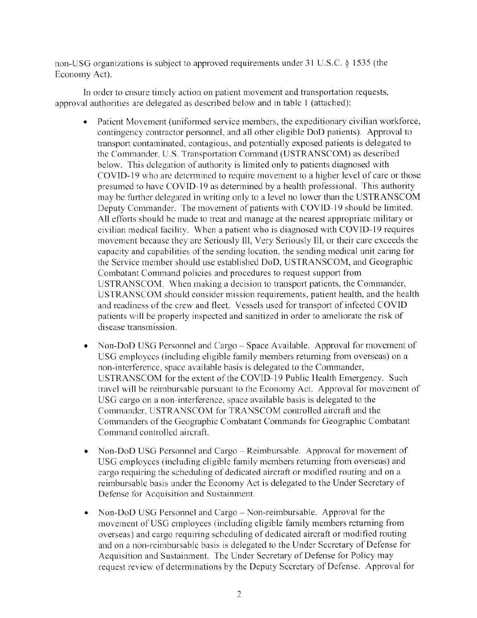non-USG organizations is subject to approved requirements under 31 U.S.C. § 1535 (the Economy Act).

In order to ensure timely action on patient movement and transportation requests, approval authorities are delegated as described below and in table I (attached):

- Patient Movement (uniformed service members, the expeditionary civilian workforce, contingency contractor personnel, and all other eligible DoD patients). Approval to transport contaminated, contagious, and potentially exposed patients is delegated to the Commander, U.S. Transportation Command (USTRANSCOM) as described below. This delegation of authority is limited only to patients diagnosed with COVID-19 who arc detennined to require movement to a higher level of care or those presumed to have COVlD-19 as determined by a health professional. This authority may be further delegated in writing only to a level no lower than the USTRANSCOM Deputy Commander. The movement of patients with COVID-19 should be limited. AIJ efforts should be made to treat and manage at the nearest appropriate mihtary or civilian medical facility. When a patient who is diagnosed with COVID-19 requires movement because they are Seriously Ill, Very Seriously Ill, or their care exceeds the capacity and capabilities of the sending location, the sending medical unit caring for the Service member should use established DoD, USTRANSCOM, and Geographic Combatant Command policies and procedures to request support from USTRANSCOM. When making a decision to transport patients, the Commander, USTRANSCOM should consider mission requirements, patient health, and the health and readiness of the crew and fleet. Vessels used for transport of infected COVID patients will be properly inspected and sanitized in order to ameliorate the risk of disease transmission.
- Non-DoD USG Personnel and Cargo Space Available. Approval for movement of USG employees (including eligible family members returning from overseas) on a non-interference, space available basis is delegated to the Commander, USTRANSCOM for the extent of the COVID-19 Public Health Emergency. Such travel will be reimbursable pursuant to the Economy Act. Approval for movement of USG cargo on a non-interference, space available basis is delegated to the Commander, USTRANSCOM for TRANSCOM controlled aircraft and the Commanders of the Geographic Combatant Commands for Geographic Combatant Command controlled aircraft.
- Non-DoD USG Personnel and Cargo Reimbursable. Approval for movement of USG employees (including eligible family members returning from overseas) and cargo requiring the scheduling of dedicated aircraft or modified routing and on a reimbursable basis under the Economy Act is delegated to the Under Secretary of Defense for Acquisition and Sustainment.
- Non-DoD USG Personnel and Cargo Non-reimbursable. Approval for the movement of USG employees (including eligible family members returning from overseas) and cargo requiring scheduling of dedicated aircraft or modified routing and on a non-reimbursable basis is delegated to the Under Secretary of Defense for Acquisition and Sustainment. The Under Secretary of Defense for Policy may request review of determinations by the Deputy Secretary of Defense. Approval for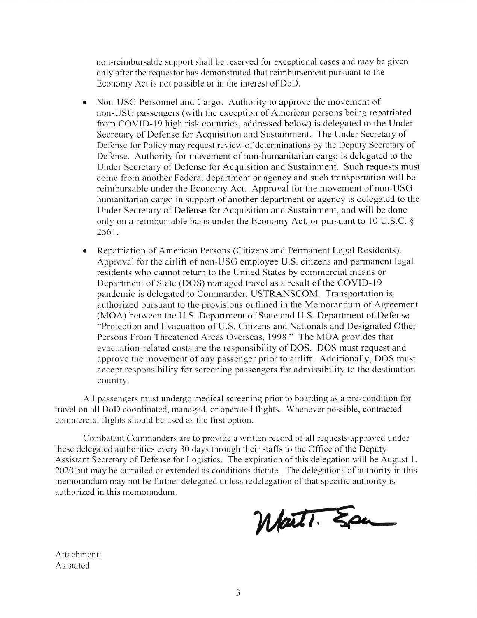non-reimbursable support shall be reserved for exceptional cases and may be given only after the requestor has demonstrated that reimbursement pursuant to the Economy Act is not possible or in the interest of DoD.

- Non-USG Personnel and Cargo. Authority to approve the movement of non-USG passengers (with the exception of American persons being repatriated from COVID-19 high risk countries, addressed below) is delegated to the Under Secretary of Defense for Acquisition and Sustainment. The Under Secretary of Defense for Policy may request review of determinations by the Deputy Secretary of Defense. Authority for movement of non-humanitarian cargo is delegated to the Under Secretary of Defense for Acquisition and Sustainment. Such requests must come from another Federal department or agency and such transportation will be reimbursable under the Economy Act. Approval for the movement of non-USG humanitarian cargo in support of another department or agency is delegated to the Under Secretary of Defense for Acquisition and Sustainment, and will be done only on a reimbursable basis under the Economy Act, or pursuant to 10 U.S.C. § 256 1.
- Repatriation of American Persons (Citizens and Permanent Legal Residents). Approval for the airlift of non-USG employee U.S. citizens and permanent legal residents who cannot return to the United States by commercial means or Department of State (DOS) managed travel as a result of the COVID-19 pandemic is delegated to Commander, USTRANSCOM. Transportation is authorized pursuant to the provisions outlined in the Memorandum of Agreement (MOA) between the U.S. Department of State and U.S. Department of Defense " Protection and Evacuation of U.S. Citizens and Nationals and Designated Other Persons From Threatened Areas Overseas, 1998." The MOA provides that evacuation-related costs are the responsibility of DOS. DOS must request and approve the movement of any passenger prior to airlift. Additionally, DOS must accept responsibility for screening passengers for admissibility to the destination country.

All passengers must undergo medical screening prior to boarding as a pre-condition for travel on all DoD coordinated, managed, or operated flights. Whenever possible, contracted commercial flights should be used as the first option.

Combatant Commanders are to provide a written record of all requests approved under these delegated authorities every 30 days through their staffs to the Office of the Deputy Assistant Secretary of Defense for Logistics. The expiration of this delegation will be August 1, 2020 but may be curtailed or extended as conditions dictate. The delegations of authority in this memorandum may not be further delegated unless redelegation of that specific authority is authorized in this memorandum.

Wartt. Spa

Attachment: As stated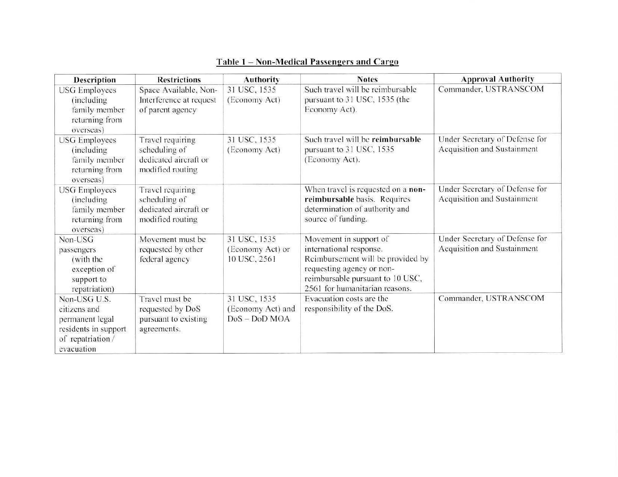| Description                                                                                               | <b>Restrictions</b>                                                            | <b>Authority</b>                                     | <b>Notes</b>                                                                                                                                                                              | <b>Approval Authority</b>                                     |
|-----------------------------------------------------------------------------------------------------------|--------------------------------------------------------------------------------|------------------------------------------------------|-------------------------------------------------------------------------------------------------------------------------------------------------------------------------------------------|---------------------------------------------------------------|
| <b>USG</b> Employees<br>(including)<br>family member<br>returning from<br>overseas)                       | Space Available, Non-<br>Interference at request<br>of parent agency           | 31 USC, 1535<br>(Economy Act)                        | Such travel will be reimbursable<br>pursuant to 31 USC, 1535 (the<br>Economy Act).                                                                                                        | Commander, USTRANSCOM                                         |
| <b>USG Employees</b><br>(including)<br>family member<br>returning from<br>overseas)                       | Travel requiring<br>scheduling of<br>dedicated aircraft or<br>modified routing | 31 USC, 1535<br>(Economy Act)                        | Such travel will be reimbursable<br>pursuant to 31 USC, 1535<br>(Economy Act).                                                                                                            | Under Secretary of Defense for<br>Acquisition and Sustainment |
| <b>USG</b> Employees<br>(including)<br>family member<br>returning from<br>overseas)                       | Travel requiring<br>scheduling of<br>dedicated aircraft or<br>modified routing |                                                      | When travel is requested on a non-<br>reimbursable basis. Requires<br>determination of authority and<br>source of funding.                                                                | Under Secretary of Defense for<br>Acquisition and Sustainment |
| Non-USG<br>passengers<br>(with the<br>exception of<br>support to<br>repatriation)                         | Movement must be<br>requested by other<br>federal agency                       | 31 USC, 1535<br>(Economy Act) or<br>10 USC, 2561     | Movement in support of<br>international response.<br>Reimbursement will be provided by<br>requesting agency or non-<br>reimbursable pursuant to 10 USC,<br>2561 for humanitarian reasons. | Under Secretary of Defense for<br>Acquisition and Sustainment |
| Non-USG U.S.<br>citizens and<br>permanent legal<br>residents in support<br>of repatriation/<br>evacuation | Travel must be<br>requested by DoS<br>pursuant to existing<br>agreements.      | 31 USC, 1535<br>(Economy Act) and<br>$DoS - DoD MOA$ | Evacuation costs are the<br>responsibility of the DoS.                                                                                                                                    | Commander, USTRANSCOM                                         |

## **Table 1 - Non-Medical Passengers and Cargo**